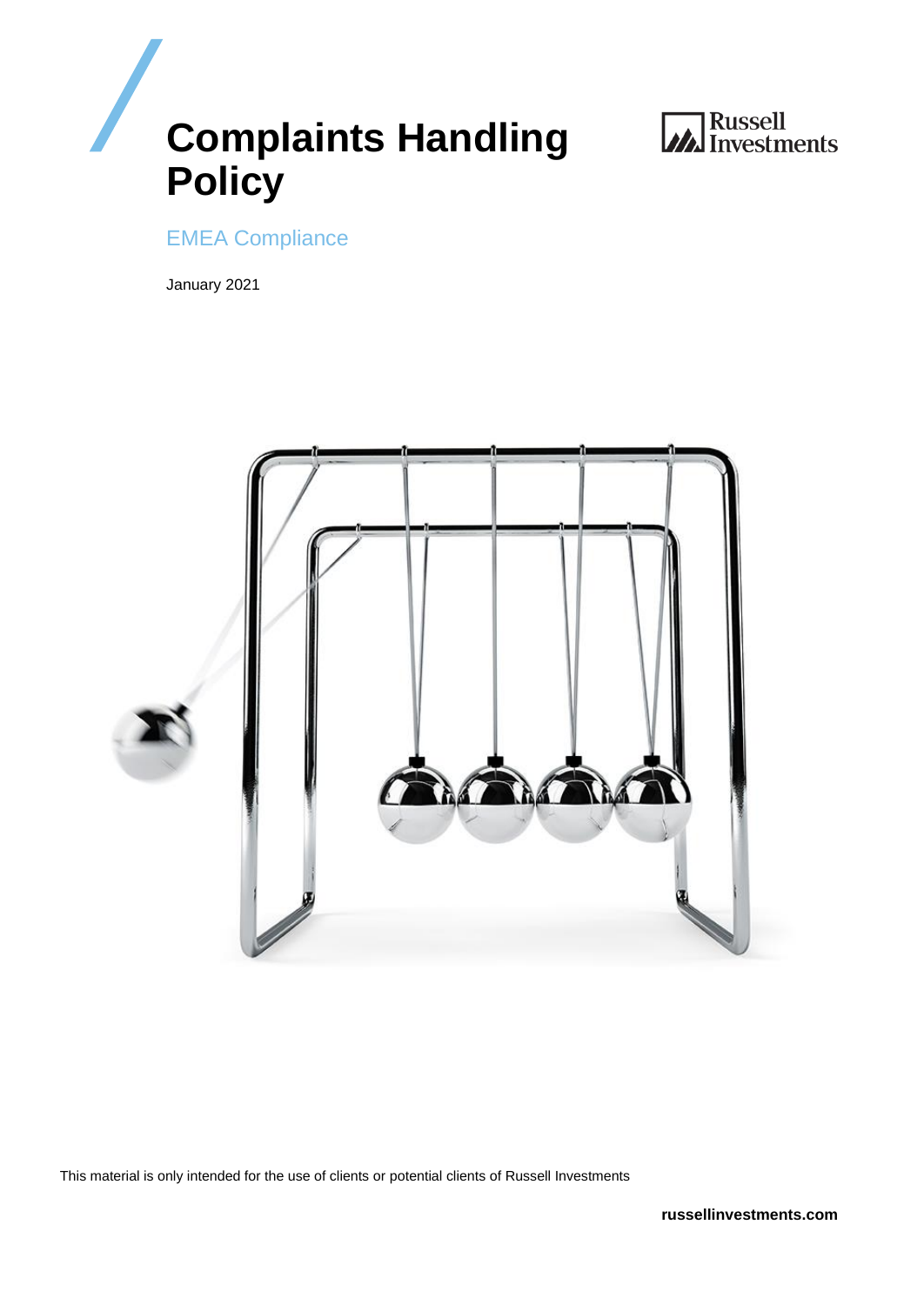



EMEA Compliance

January 2021



This material is only intended for the use of clients or potential clients of Russell Investments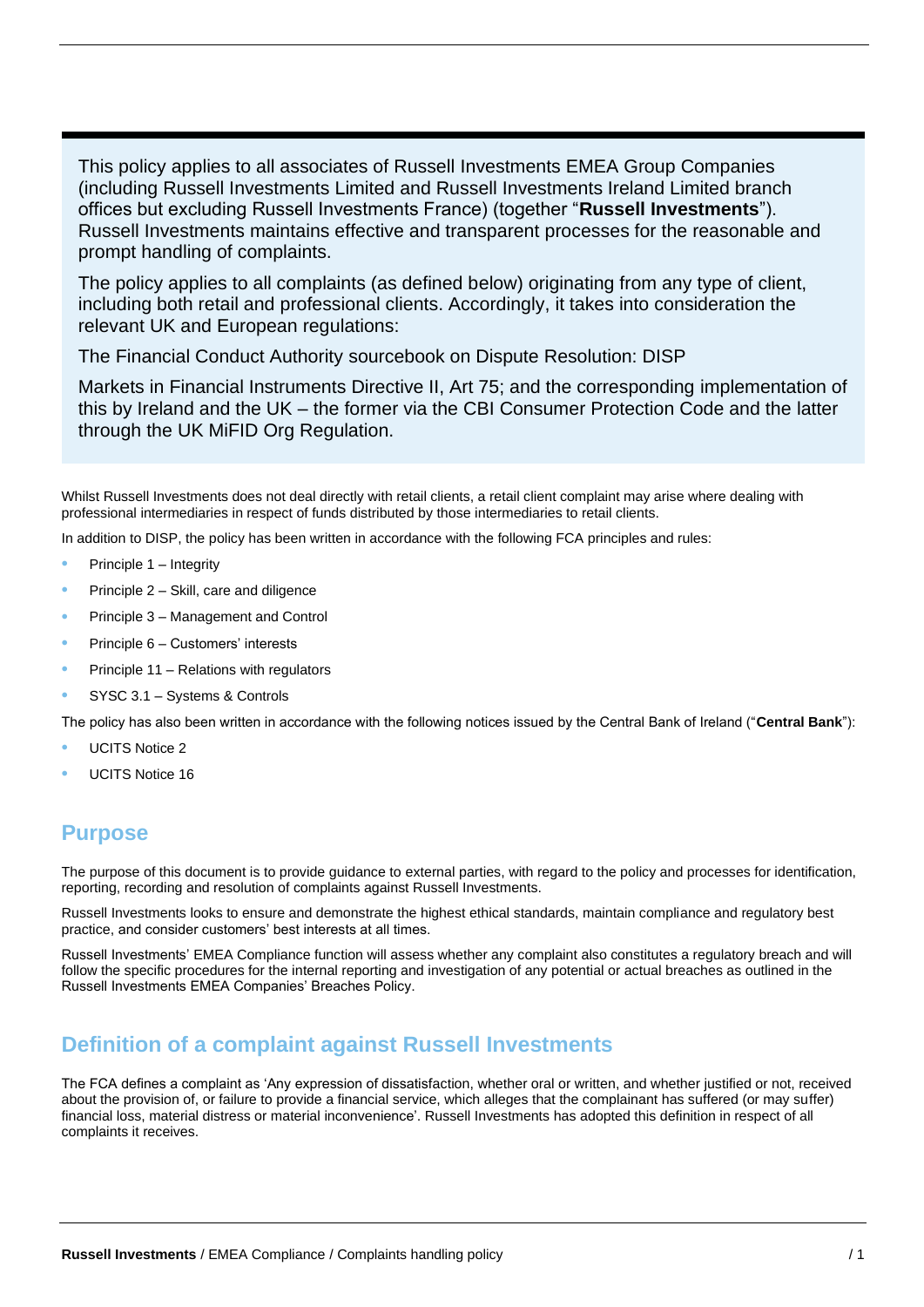This policy applies to all associates of Russell Investments EMEA Group Companies (including Russell Investments Limited and Russell Investments Ireland Limited branch offices but excluding Russell Investments France) (together "**Russell Investments**"). Russell Investments maintains effective and transparent processes for the reasonable and prompt handling of complaints.

The policy applies to all complaints (as defined below) originating from any type of client, including both retail and professional clients. Accordingly, it takes into consideration the relevant UK and European regulations:

The Financial Conduct Authority sourcebook on Dispute Resolution: DISP

Markets in Financial Instruments Directive II, Art 75; and the corresponding implementation of this by Ireland and the UK – the former via the CBI Consumer Protection Code and the latter through the UK MiFID Org Regulation.

Whilst Russell Investments does not deal directly with retail clients, a retail client complaint may arise where dealing with professional intermediaries in respect of funds distributed by those intermediaries to retail clients.

In addition to DISP, the policy has been written in accordance with the following FCA principles and rules:

- Principle 1 Integrity
- Principle 2 Skill, care and diligence
- Principle 3 Management and Control
- Principle 6 Customers' interests
- Principle 11 Relations with regulators
- SYSC 3.1 Systems & Controls

The policy has also been written in accordance with the following notices issued by the Central Bank of Ireland ("**Central Bank**"):

- UCITS Notice 2
- UCITS Notice 16

### **Purpose**

The purpose of this document is to provide guidance to external parties, with regard to the policy and processes for identification, reporting, recording and resolution of complaints against Russell Investments.

Russell Investments looks to ensure and demonstrate the highest ethical standards, maintain compliance and regulatory best practice, and consider customers' best interests at all times.

Russell Investments' EMEA Compliance function will assess whether any complaint also constitutes a regulatory breach and will follow the specific procedures for the internal reporting and investigation of any potential or actual breaches as outlined in the Russell Investments EMEA Companies' Breaches Policy.

### **Definition of a complaint against Russell Investments**

The FCA defines a complaint as 'Any expression of dissatisfaction, whether oral or written, and whether justified or not, received about the provision of, or failure to provide a financial service, which alleges that the complainant has suffered (or may suffer) financial loss, material distress or material inconvenience'. Russell Investments has adopted this definition in respect of all complaints it receives.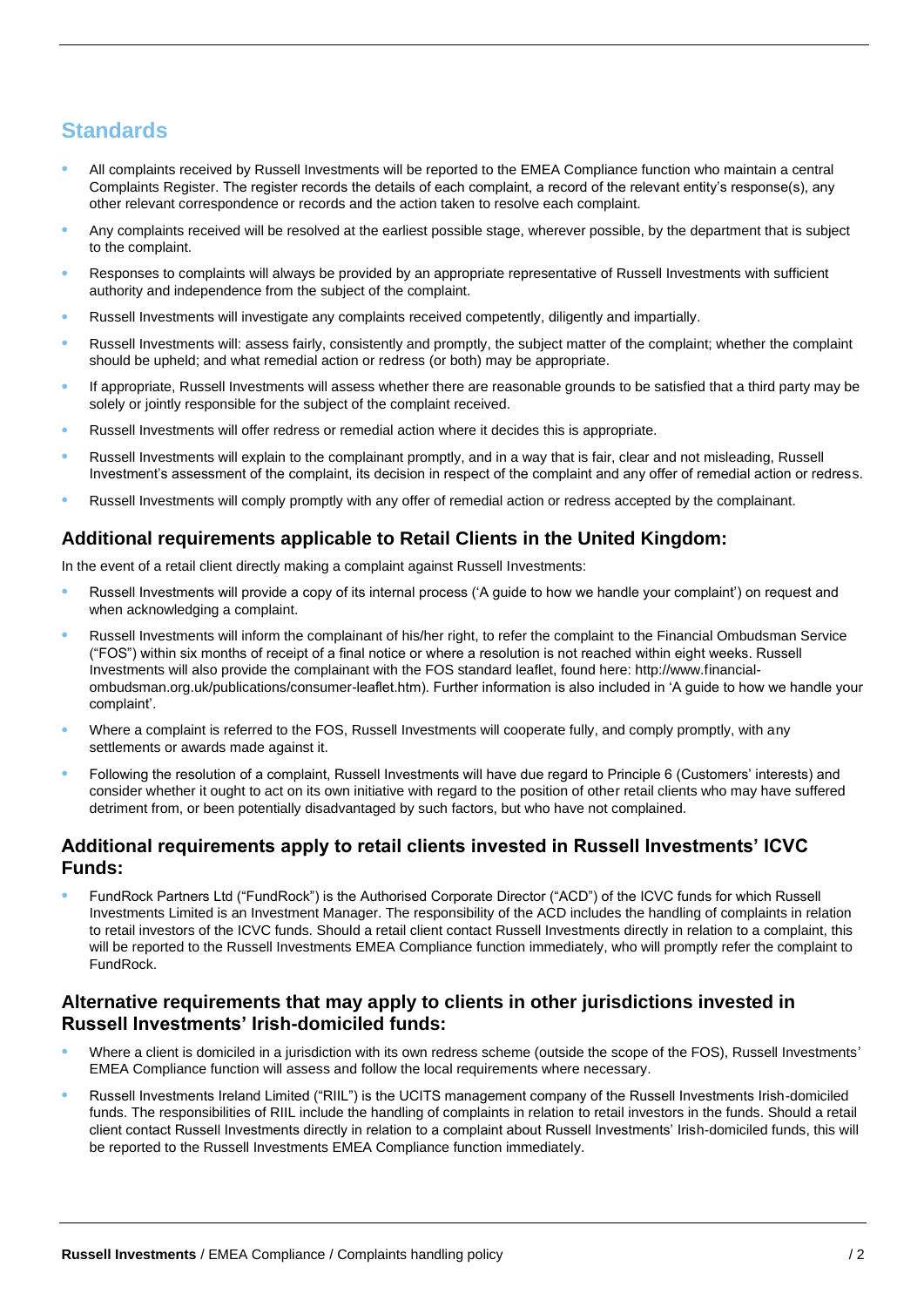# **Standards**

- All complaints received by Russell Investments will be reported to the EMEA Compliance function who maintain a central Complaints Register. The register records the details of each complaint, a record of the relevant entity's response(s), any other relevant correspondence or records and the action taken to resolve each complaint.
- Any complaints received will be resolved at the earliest possible stage, wherever possible, by the department that is subject to the complaint.
- Responses to complaints will always be provided by an appropriate representative of Russell Investments with sufficient authority and independence from the subject of the complaint.
- Russell Investments will investigate any complaints received competently, diligently and impartially.
- Russell Investments will: assess fairly, consistently and promptly, the subject matter of the complaint; whether the complaint should be upheld; and what remedial action or redress (or both) may be appropriate.
- If appropriate, Russell Investments will assess whether there are reasonable grounds to be satisfied that a third party may be solely or jointly responsible for the subject of the complaint received.
- Russell Investments will offer redress or remedial action where it decides this is appropriate.
- Russell Investments will explain to the complainant promptly, and in a way that is fair, clear and not misleading, Russell Investment's assessment of the complaint, its decision in respect of the complaint and any offer of remedial action or redress.
- Russell Investments will comply promptly with any offer of remedial action or redress accepted by the complainant.

#### **Additional requirements applicable to Retail Clients in the United Kingdom:**

In the event of a retail client directly making a complaint against Russell Investments:

- Russell Investments will provide a copy of its internal process ('A guide to how we handle your complaint') on request and when acknowledging a complaint.
- Russell Investments will inform the complainant of his/her right, to refer the complaint to the Financial Ombudsman Service ("FOS") within six months of receipt of a final notice or where a resolution is not reached within eight weeks. Russell Investments will also provide the complainant with the FOS standard leaflet, found here: http://www.financialombudsman.org.uk/publications/consumer-leaflet.htm). Further information is also included in 'A guide to how we handle your complaint'.
- Where a complaint is referred to the FOS, Russell Investments will cooperate fully, and comply promptly, with any settlements or awards made against it.
- Following the resolution of a complaint, Russell Investments will have due regard to Principle 6 (Customers' interests) and consider whether it ought to act on its own initiative with regard to the position of other retail clients who may have suffered detriment from, or been potentially disadvantaged by such factors, but who have not complained.

#### **Additional requirements apply to retail clients invested in Russell Investments' ICVC Funds:**

• FundRock Partners Ltd ("FundRock") is the Authorised Corporate Director ("ACD") of the ICVC funds for which Russell Investments Limited is an Investment Manager. The responsibility of the ACD includes the handling of complaints in relation to retail investors of the ICVC funds. Should a retail client contact Russell Investments directly in relation to a complaint, this will be reported to the Russell Investments EMEA Compliance function immediately, who will promptly refer the complaint to FundRock.

#### **Alternative requirements that may apply to clients in other jurisdictions invested in Russell Investments' Irish-domiciled funds:**

- Where a client is domiciled in a jurisdiction with its own redress scheme (outside the scope of the FOS), Russell Investments' EMEA Compliance function will assess and follow the local requirements where necessary.
- Russell Investments Ireland Limited ("RIIL") is the UCITS management company of the Russell Investments Irish-domiciled funds. The responsibilities of RIIL include the handling of complaints in relation to retail investors in the funds. Should a retail client contact Russell Investments directly in relation to a complaint about Russell Investments' Irish-domiciled funds, this will be reported to the Russell Investments EMEA Compliance function immediately.